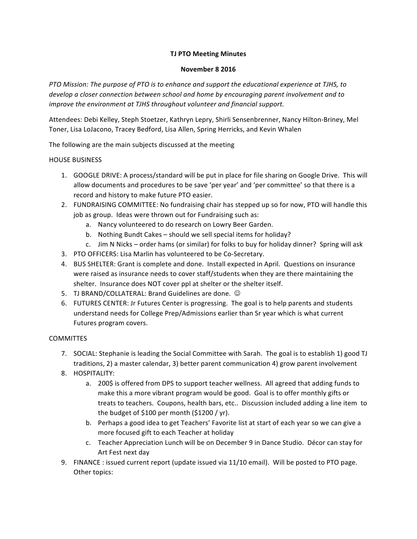## **TJ PTO Meeting Minutes**

## **November 8 2016**

*PTO Mission:* The purpose of PTO is to enhance and support the educational experience at TJHS, to develop a closer connection between school and home by encouraging parent involvement and to *improve the environment at TJHS throughout volunteer and financial support.* 

Attendees: Debi Kelley, Steph Stoetzer, Kathryn Lepry, Shirli Sensenbrenner, Nancy Hilton-Briney, Mel Toner, Lisa LoJacono, Tracey Bedford, Lisa Allen, Spring Herricks, and Kevin Whalen

The following are the main subjects discussed at the meeting

## **HOUSE BUSINESS**

- 1. GOOGLE DRIVE: A process/standard will be put in place for file sharing on Google Drive. This will allow documents and procedures to be save 'per year' and 'per committee' so that there is a record and history to make future PTO easier.
- 2. FUNDRAISING COMMITTEE: No fundraising chair has stepped up so for now, PTO will handle this job as group. Ideas were thrown out for Fundraising such as:
	- a. Nancy volunteered to do research on Lowry Beer Garden.
	- b. Nothing Bundt Cakes should we sell special items for holiday?
	- c. Jim N Nicks order hams (or similar) for folks to buy for holiday dinner? Spring will ask
- 3. PTO OFFICERS: Lisa Marlin has volunteered to be Co-Secretary.
- 4. BUS SHELTER: Grant is complete and done. Install expected in April. Questions on insurance were raised as insurance needs to cover staff/students when they are there maintaining the shelter. Insurance does NOT cover ppl at shelter or the shelter itself.
- 5. TJ BRAND/COLLATERAL: Brand Guidelines are done.  $\odot$
- 6. FUTURES CENTER: Jr Futures Center is progressing. The goal is to help parents and students understand needs for College Prep/Admissions earlier than Sr year which is what current Futures program covers.

## **COMMITTES**

- 7. SOCIAL: Stephanie is leading the Social Committee with Sarah. The goal is to establish 1) good TJ traditions, 2) a master calendar, 3) better parent communication 4) grow parent involvement
- 8. HOSPITALITY:
	- a. 200\$ is offered from DPS to support teacher wellness. All agreed that adding funds to make this a more vibrant program would be good. Goal is to offer monthly gifts or treats to teachers. Coupons, health bars, etc.. Discussion included adding a line item to the budget of \$100 per month  $(51200 / yr)$ .
	- b. Perhaps a good idea to get Teachers' Favorite list at start of each year so we can give a more focused gift to each Teacher at holiday
	- c. Teacher Appreciation Lunch will be on December 9 in Dance Studio. Décor can stay for Art Fest next day
- 9. FINANCE : issued current report (update issued via 11/10 email). Will be posted to PTO page. Other topics: